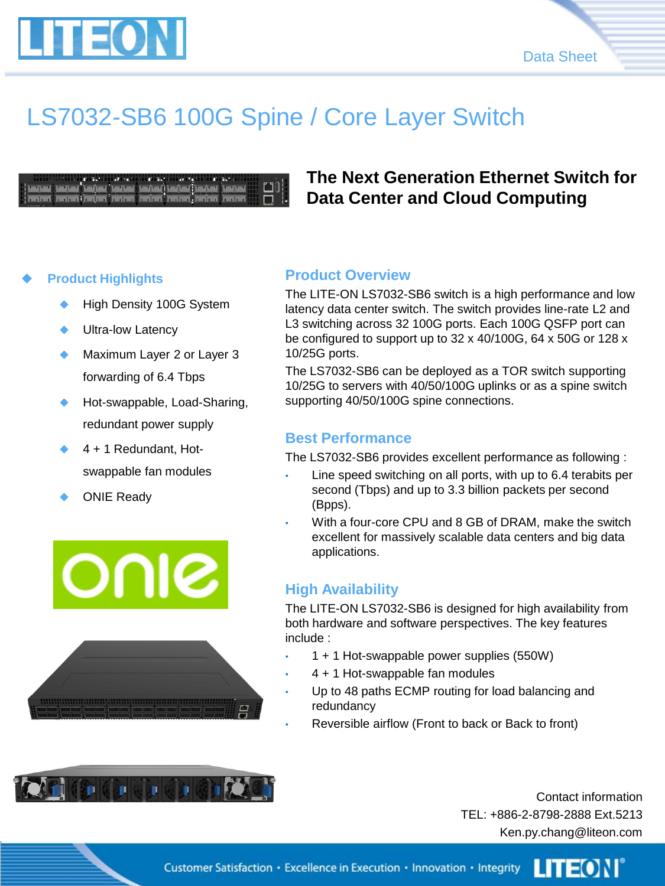



## LS7032-SB6 100G Spine / Core Layer Switch

|  |  |  | <b>Color who will will will enter the color of the color of the color of the color of the color of the color of the color of the color of the color of the color of the color of the color of the color of the color of the colo</b> |
|--|--|--|--------------------------------------------------------------------------------------------------------------------------------------------------------------------------------------------------------------------------------------|
|  |  |  |                                                                                                                                                                                                                                      |
|  |  |  | PROTECT PROTECTIVE PROTECTIVE PROTECT PROTECT PROTECT PROTECTIVE                                                                                                                                                                     |

### **The Next Generation Ethernet Switch for Data Center and Cloud Computing**

#### **Product Highlights**

- High Density 100G System
- Ultra-low Latency
- Maximum Layer 2 or Layer 3 forwarding of 6.4 Tbps
- Hot-swappable, Load-Sharing, redundant power supply
- 4 + 1 Redundant, Hotswappable fan modules
- ONIE Ready

ONIC



#### **Product Overview**

The LITE-ON LS7032-SB6 switch is a high performance and low latency data center switch. The switch provides line-rate L2 and L3 switching across 32 100G ports. Each 100G QSFP port can be configured to support up to 32 x 40/100G, 64 x 50G or 128 x 10/25G ports.

The LS7032-SB6 can be deployed as a TOR switch supporting 10/25G to servers with 40/50/100G uplinks or as a spine switch supporting 40/50/100G spine connections.

#### **Best Performance**

The LS7032-SB6 provides excellent performance as following :

- Line speed switching on all ports, with up to 6.4 terabits per second (Tbps) and up to 3.3 billion packets per second (Bpps).
- With a four-core CPU and 8 GB of DRAM, make the switch excellent for massively scalable data centers and big data applications.

#### **High Availability**

The LITE-ON LS7032-SB6 is designed for high availability from both hardware and software perspectives. The key features include :

- 1 + 1 Hot-swappable power supplies (550W)
- 4 + 1 Hot-swappable fan modules
- Up to 48 paths ECMP routing for load balancing and redundancy
- Reversible airflow (Front to back or Back to front)



Contact information TEL: +886-2-8798-2888 Ext.5213 Ken.py.chang@liteon.com